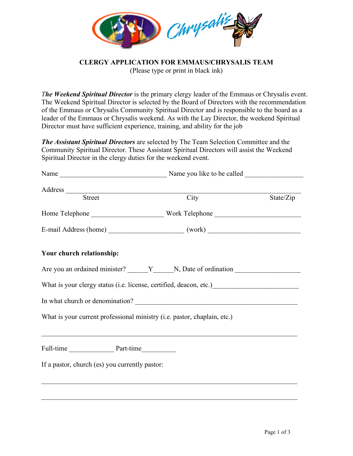

**CLERGY APPLICATION FOR EMMAUS/CHRYSALIS TEAM**

(Please type or print in black ink)

*The Weekend Spiritual Director* is the primary clergy leader of the Emmaus or Chrysalis event. The Weekend Spiritual Director is selected by the Board of Directors with the recommendation of the Emmaus or Chrysalis Community Spiritual Director and is responsible to the board as a leader of the Emmaus or Chrysalis weekend. As with the Lay Director, the weekend Spiritual Director must have sufficient experience, training, and ability for the job

*The Assistant Spiritual Directors* are selected by The Team Selection Committee and the Community Spiritual Director. These Assistant Spiritual Directors will assist the Weekend Spiritual Director in the clergy duties for the weekend event.

| Address Street                                 | $\overline{C}$ ity                                                       | State/Zip |  |
|------------------------------------------------|--------------------------------------------------------------------------|-----------|--|
|                                                |                                                                          |           |  |
|                                                |                                                                          |           |  |
| Your church relationship:                      |                                                                          |           |  |
|                                                |                                                                          |           |  |
|                                                |                                                                          |           |  |
|                                                |                                                                          |           |  |
|                                                | What is your current professional ministry (i.e. pastor, chaplain, etc.) |           |  |
| Full-time Part-time                            |                                                                          |           |  |
| If a pastor, church (es) you currently pastor: |                                                                          |           |  |
|                                                |                                                                          |           |  |
|                                                |                                                                          |           |  |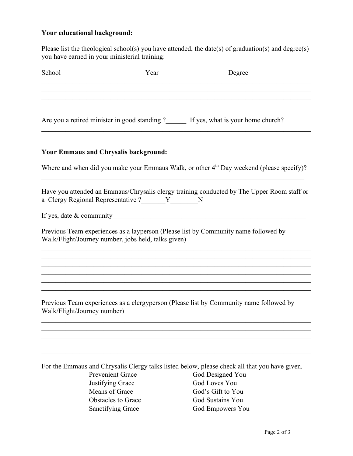## **Your educational background:**

Please list the theological school(s) you have attended, the date(s) of graduation(s) and degree(s) you have earned in your ministerial training:

| School | Year                                                 | Degree                                                                                     |
|--------|------------------------------------------------------|--------------------------------------------------------------------------------------------|
|        |                                                      | Are you a retired minister in good standing ?<br>If yes, what is your home church?         |
|        | <b>Your Emmaus and Chrysalis background:</b>         |                                                                                            |
|        |                                                      | Where and when did you make your Emmaus Walk, or other $4th$ Day weekend (please specify)? |
|        | a Clergy Regional Representative ?_______Y_________N | Have you attended an Emmaus/Chrysalis clergy training conducted by The Upper Room staff or |
|        |                                                      |                                                                                            |
|        | Walk/Flight/Journey number, jobs held, talks given)  | Previous Team experiences as a layperson (Please list by Community name followed by        |
|        |                                                      |                                                                                            |
|        |                                                      |                                                                                            |
|        |                                                      |                                                                                            |

Previous Team experiences as a clergyperson (Please list by Community name followed by Walk/Flight/Journey number)

 $\mathcal{L}_\mathcal{L} = \{ \mathcal{L}_\mathcal{L} = \{ \mathcal{L}_\mathcal{L} = \{ \mathcal{L}_\mathcal{L} = \{ \mathcal{L}_\mathcal{L} = \{ \mathcal{L}_\mathcal{L} = \{ \mathcal{L}_\mathcal{L} = \{ \mathcal{L}_\mathcal{L} = \{ \mathcal{L}_\mathcal{L} = \{ \mathcal{L}_\mathcal{L} = \{ \mathcal{L}_\mathcal{L} = \{ \mathcal{L}_\mathcal{L} = \{ \mathcal{L}_\mathcal{L} = \{ \mathcal{L}_\mathcal{L} = \{ \mathcal{L}_\mathcal{$  $\mathcal{L}_\mathcal{L} = \{ \mathcal{L}_\mathcal{L} = \{ \mathcal{L}_\mathcal{L} = \{ \mathcal{L}_\mathcal{L} = \{ \mathcal{L}_\mathcal{L} = \{ \mathcal{L}_\mathcal{L} = \{ \mathcal{L}_\mathcal{L} = \{ \mathcal{L}_\mathcal{L} = \{ \mathcal{L}_\mathcal{L} = \{ \mathcal{L}_\mathcal{L} = \{ \mathcal{L}_\mathcal{L} = \{ \mathcal{L}_\mathcal{L} = \{ \mathcal{L}_\mathcal{L} = \{ \mathcal{L}_\mathcal{L} = \{ \mathcal{L}_\mathcal{$ 

For the Emmaus and Chrysalis Clergy talks listed below, please check all that you have given. Prevenient Grace God Designed You Justifying Grace God Loves You Means of Grace God's Gift to You Obstacles to Grace God Sustains You<br>
Sanctifying Grace God Empowers You God Empowers You